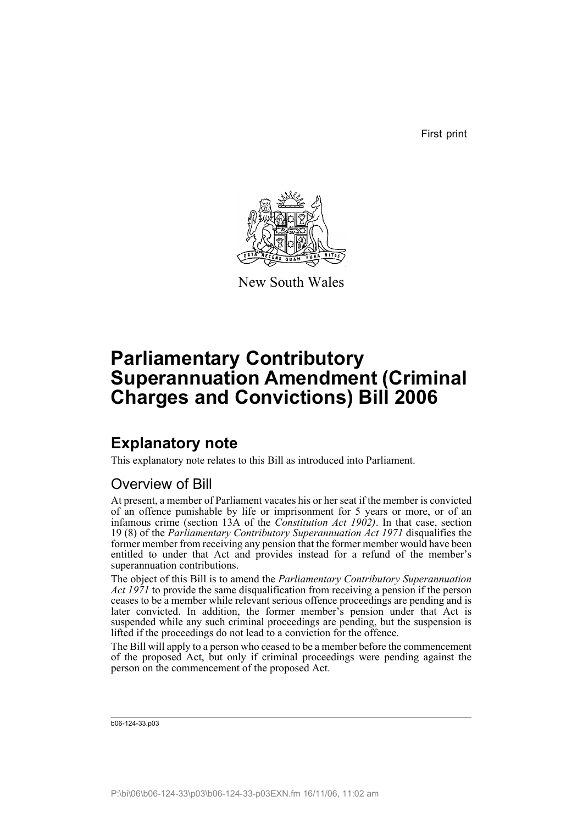First print



New South Wales

# **Parliamentary Contributory Superannuation Amendment (Criminal Charges and Convictions) Bill 2006**

# **Explanatory note**

This explanatory note relates to this Bill as introduced into Parliament.

## Overview of Bill

At present, a member of Parliament vacates his or her seat if the member is convicted of an offence punishable by life or imprisonment for 5 years or more, or of an infamous crime (section 13A of the *Constitution Act 1902)*. In that case, section 19 (8) of the *Parliamentary Contributory Superannuation Act 1971* disqualifies the former member from receiving any pension that the former member would have been entitled to under that Act and provides instead for a refund of the member's superannuation contributions.

The object of this Bill is to amend the *Parliamentary Contributory Superannuation Act 1971* to provide the same disqualification from receiving a pension if the person ceases to be a member while relevant serious offence proceedings are pending and is later convicted. In addition, the former member's pension under that Act is suspended while any such criminal proceedings are pending, but the suspension is lifted if the proceedings do not lead to a conviction for the offence.

The Bill will apply to a person who ceased to be a member before the commencement of the proposed Act, but only if criminal proceedings were pending against the person on the commencement of the proposed Act.

b06-124-33.p03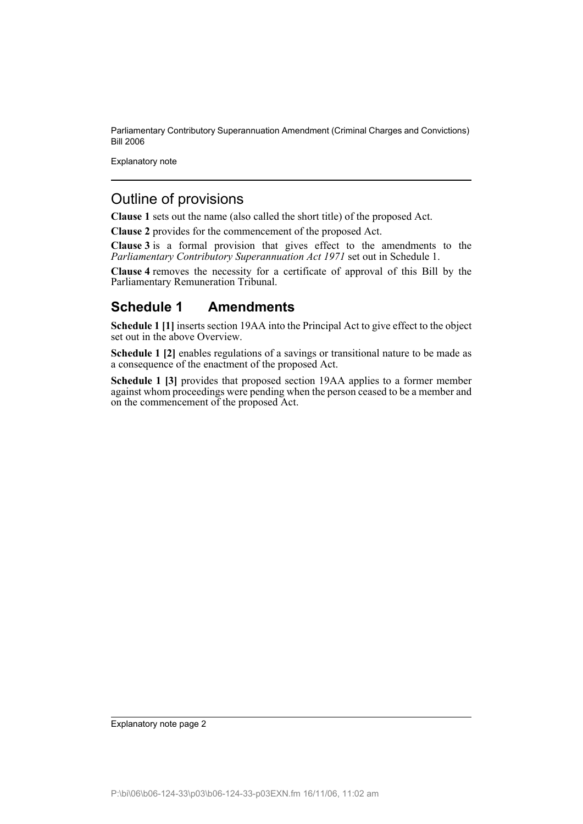Explanatory note

### Outline of provisions

**Clause 1** sets out the name (also called the short title) of the proposed Act.

**Clause 2** provides for the commencement of the proposed Act.

**Clause 3** is a formal provision that gives effect to the amendments to the *Parliamentary Contributory Superannuation Act 1971* set out in Schedule 1.

**Clause 4** removes the necessity for a certificate of approval of this Bill by the Parliamentary Remuneration Tribunal.

#### **Schedule 1 Amendments**

**Schedule 1 [1]** inserts section 19AA into the Principal Act to give effect to the object set out in the above Overview.

**Schedule 1 [2]** enables regulations of a savings or transitional nature to be made as a consequence of the enactment of the proposed Act.

**Schedule 1 [3]** provides that proposed section 19AA applies to a former member against whom proceedings were pending when the person ceased to be a member and on the commencement of the proposed Act.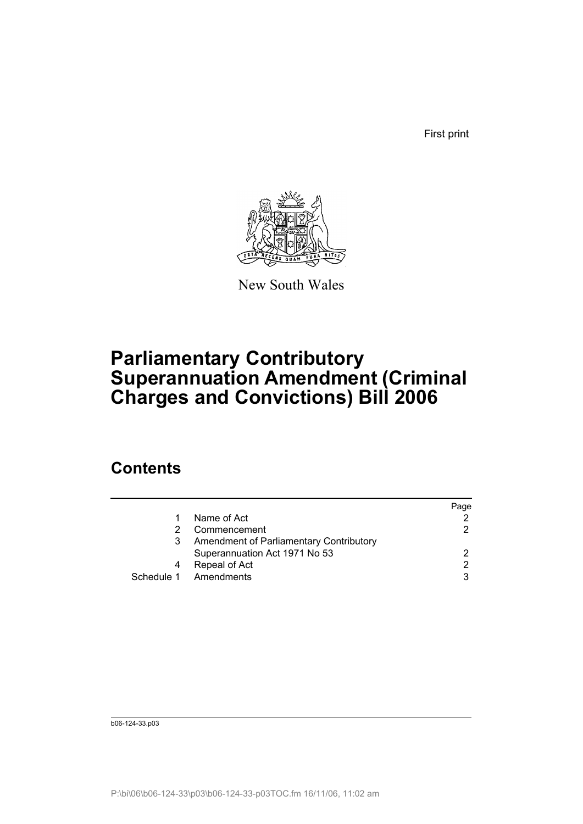First print



New South Wales

# **Parliamentary Contributory Superannuation Amendment (Criminal Charges and Convictions) Bill 2006**

## **Contents**

|   |                                         | Paqe |
|---|-----------------------------------------|------|
| 1 | Name of Act                             | 2    |
| 2 | Commencement                            | 2    |
| 3 | Amendment of Parliamentary Contributory |      |
|   | Superannuation Act 1971 No 53           | 2    |
| 4 | Repeal of Act                           | 2    |
|   | Schedule 1 Amendments                   | 3    |

b06-124-33.p03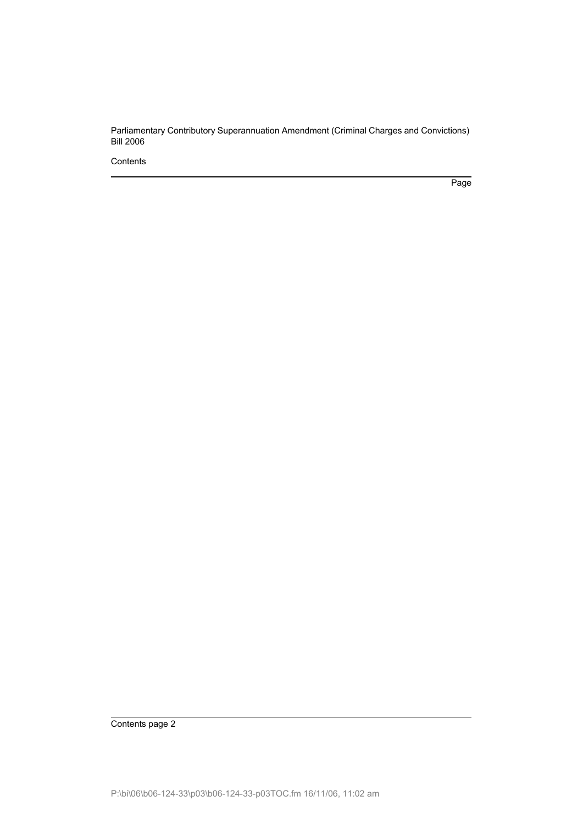**Contents** 

Page

Contents page 2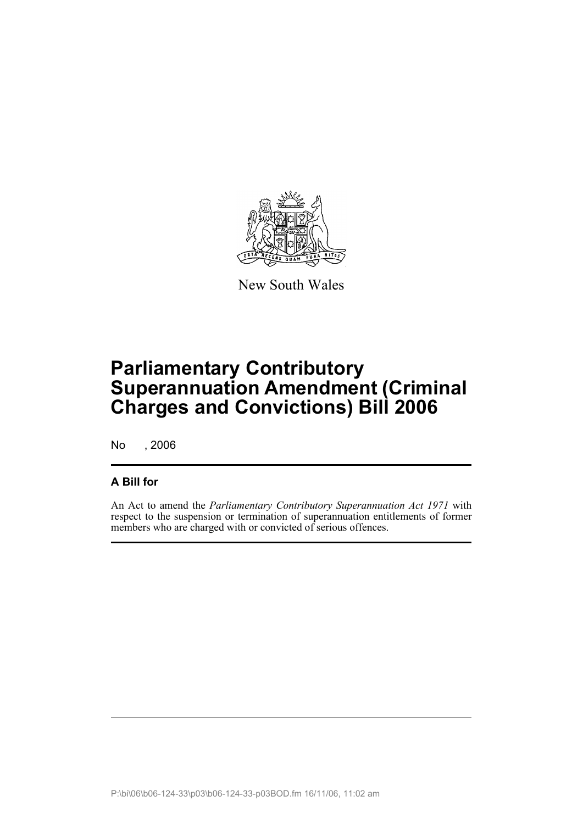

New South Wales

# **Parliamentary Contributory Superannuation Amendment (Criminal Charges and Convictions) Bill 2006**

No , 2006

#### **A Bill for**

An Act to amend the *Parliamentary Contributory Superannuation Act 1971* with respect to the suspension or termination of superannuation entitlements of former members who are charged with or convicted of serious offences.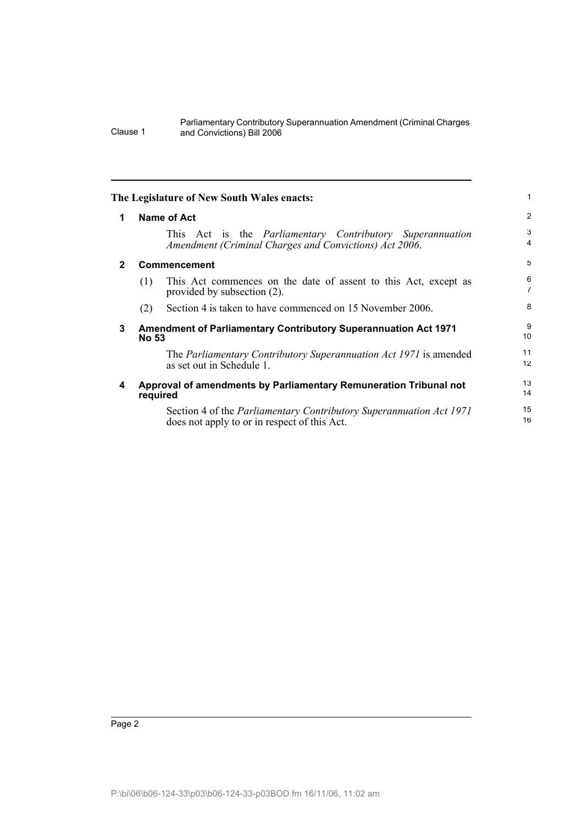|             |              | The Legislature of New South Wales enacts:                                                                                 | 1                   |
|-------------|--------------|----------------------------------------------------------------------------------------------------------------------------|---------------------|
| 1           | Name of Act  |                                                                                                                            |                     |
|             |              | This Act is the <i>Parliamentary Contributory Superannuation</i><br>Amendment (Criminal Charges and Convictions) Act 2006. | 3<br>$\overline{4}$ |
| $\mathbf 2$ |              | <b>Commencement</b>                                                                                                        | 5                   |
|             | (1)          | This Act commences on the date of assent to this Act, except as<br>provided by subsection $(2)$ .                          | 6<br>$\overline{7}$ |
|             | (2)          | Section 4 is taken to have commenced on 15 November 2006.                                                                  | 8                   |
| 3           | <b>No 53</b> | <b>Amendment of Parliamentary Contributory Superannuation Act 1971</b>                                                     | 9<br>10             |
|             |              | The Parliamentary Contributory Superannuation Act 1971 is amended<br>as set out in Schedule 1.                             | 11<br>12            |
| 4           | required     | Approval of amendments by Parliamentary Remuneration Tribunal not                                                          | 13<br>14            |
|             |              | Section 4 of the Parliamentary Contributory Superannuation Act 1971<br>does not apply to or in respect of this Act.        | 15<br>16            |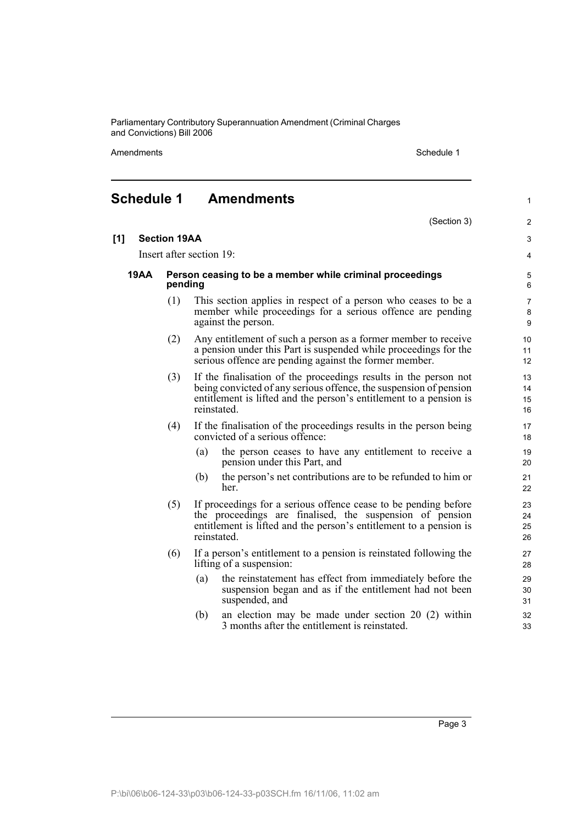Amendments Schedule 1

1

## **Schedule 1 Amendments**

|     |             |                                                                     |     | (Section 3)                                                                                                                                                                                                                | 2                        |
|-----|-------------|---------------------------------------------------------------------|-----|----------------------------------------------------------------------------------------------------------------------------------------------------------------------------------------------------------------------------|--------------------------|
| [1] |             | <b>Section 19AA</b>                                                 |     |                                                                                                                                                                                                                            | 3                        |
|     |             | Insert after section 19:                                            |     |                                                                                                                                                                                                                            | 4                        |
|     | <b>19AA</b> | Person ceasing to be a member while criminal proceedings<br>pending |     |                                                                                                                                                                                                                            | $\mathbf 5$<br>6         |
|     |             | (1)                                                                 |     | This section applies in respect of a person who ceases to be a<br>member while proceedings for a serious offence are pending<br>against the person.                                                                        | $\overline{7}$<br>8<br>9 |
|     |             | (2)                                                                 |     | Any entitlement of such a person as a former member to receive<br>a pension under this Part is suspended while proceedings for the<br>serious offence are pending against the former member.                               | 10<br>11<br>12           |
|     |             | (3)                                                                 |     | If the finalisation of the proceedings results in the person not<br>being convicted of any serious offence, the suspension of pension<br>entitlement is lifted and the person's entitlement to a pension is<br>reinstated. | 13<br>14<br>15<br>16     |
|     |             | (4)                                                                 |     | If the finalisation of the proceedings results in the person being<br>convicted of a serious offence:                                                                                                                      | 17<br>18                 |
|     |             |                                                                     | (a) | the person ceases to have any entitlement to receive a<br>pension under this Part, and                                                                                                                                     | 19<br>20                 |
|     |             |                                                                     | (b) | the person's net contributions are to be refunded to him or<br>her.                                                                                                                                                        | 21<br>22                 |
|     |             | (5)                                                                 |     | If proceedings for a serious offence cease to be pending before<br>the proceedings are finalised, the suspension of pension<br>entitlement is lifted and the person's entitlement to a pension is<br>reinstated.           | 23<br>24<br>25<br>26     |
|     |             | (6)                                                                 |     | If a person's entitlement to a pension is reinstated following the<br>lifting of a suspension:                                                                                                                             | 27<br>28                 |
|     |             |                                                                     | (a) | the reinstatement has effect from immediately before the<br>suspension began and as if the entitlement had not been<br>suspended, and                                                                                      | 29<br>30<br>31           |
|     |             |                                                                     | (b) | an election may be made under section $20(2)$ within<br>3 months after the entitlement is reinstated.                                                                                                                      | 32<br>33                 |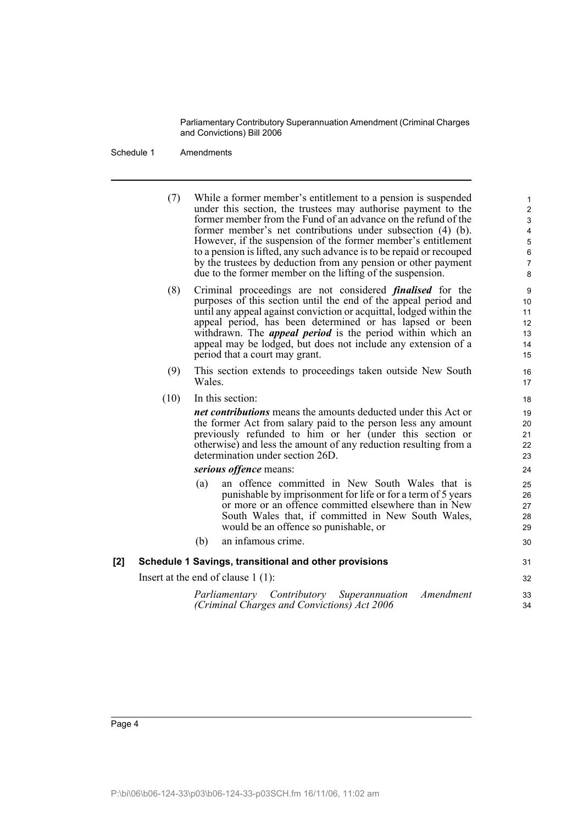Schedule 1 Amendments

i.

|     | (7)  | While a former member's entitlement to a pension is suspended<br>under this section, the trustees may authorise payment to the<br>former member from the Fund of an advance on the refund of the<br>former member's net contributions under subsection (4) (b).<br>However, if the suspension of the former member's entitlement<br>to a pension is lifted, any such advance is to be repaid or recouped<br>by the trustees by deduction from any pension or other payment<br>due to the former member on the lifting of the suspension. | $\mathbf{1}$<br>$\overline{2}$<br>3<br>$\overline{\mathbf{4}}$<br>5<br>$\,6\,$<br>$\overline{7}$<br>8 |
|-----|------|------------------------------------------------------------------------------------------------------------------------------------------------------------------------------------------------------------------------------------------------------------------------------------------------------------------------------------------------------------------------------------------------------------------------------------------------------------------------------------------------------------------------------------------|-------------------------------------------------------------------------------------------------------|
|     | (8)  | Criminal proceedings are not considered <i>finalised</i> for the<br>purposes of this section until the end of the appeal period and<br>until any appeal against conviction or acquittal, lodged within the<br>appeal period, has been determined or has lapsed or been<br>withdrawn. The <i>appeal period</i> is the period within which an<br>appeal may be lodged, but does not include any extension of a<br>period that a court may grant.                                                                                           | 9<br>10 <sup>°</sup><br>11<br>12<br>13<br>14<br>15                                                    |
|     | (9)  | This section extends to proceedings taken outside New South<br>Wales.                                                                                                                                                                                                                                                                                                                                                                                                                                                                    | 16<br>17                                                                                              |
|     | (10) | In this section:                                                                                                                                                                                                                                                                                                                                                                                                                                                                                                                         | 18                                                                                                    |
|     |      | net contributions means the amounts deducted under this Act or<br>the former Act from salary paid to the person less any amount<br>previously refunded to him or her (under this section or<br>otherwise) and less the amount of any reduction resulting from a<br>determination under section 26D.                                                                                                                                                                                                                                      | 19<br>20<br>21<br>22<br>23                                                                            |
|     |      | serious offence means:                                                                                                                                                                                                                                                                                                                                                                                                                                                                                                                   | 24                                                                                                    |
|     |      | an offence committed in New South Wales that is<br>(a)<br>punishable by imprisonment for life or for a term of 5 years<br>or more or an offence committed elsewhere than in New<br>South Wales that, if committed in New South Wales,<br>would be an offence so punishable, or                                                                                                                                                                                                                                                           | 25<br>26<br>27<br>28<br>29                                                                            |
|     |      | an infamous crime.<br>(b)                                                                                                                                                                                                                                                                                                                                                                                                                                                                                                                | 30                                                                                                    |
| [2] |      | Schedule 1 Savings, transitional and other provisions                                                                                                                                                                                                                                                                                                                                                                                                                                                                                    | 31                                                                                                    |
|     |      | Insert at the end of clause $1(1)$ :                                                                                                                                                                                                                                                                                                                                                                                                                                                                                                     | 32                                                                                                    |
|     |      | Parliamentary Contributory<br>Amendment<br>Superannuation<br>(Criminal Charges and Convictions) Act 2006                                                                                                                                                                                                                                                                                                                                                                                                                                 | 33<br>34                                                                                              |